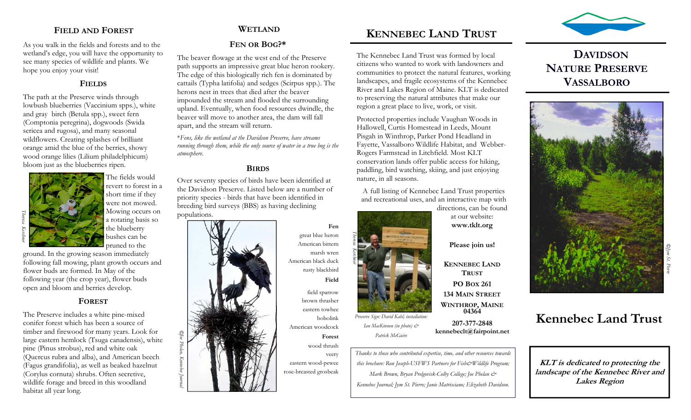## **FIELD AND FOREST**

As you walk in the fields and forests and to the wetland's edge, you will have the opportunity to see many species of wildlife and plants. We hope you enjoy your visit!

#### **FIELDS**

The path at the Preserve winds through lowbush blueberries (Vaccinium spps.), white and gray birch (Betula spp.), sweet fern (Comptonia peregrina), dogwoods (Swida sericea and rugosa), and many seasonal wildflowers. Creating splashes of brilliant orange amid the blue of the berries, showy wood orange lilies (Lilium philadelphicum) bloom just as the blueberries ripen.



The fields would revert to forest in a short time if they were not mowed. Mowing occurs on a rotating basis so the blueberry bushes can be

pruned to the

ground. In the growing season immediately following fall mowing, plant growth occurs and flower buds are formed. In May of the following year (the crop year), flower buds open and bloom and berries develop.

## **FOREST**

The Preserve includes a white pine-mixed conifer forest which has been a source of timber and firewood for many years. Look for large eastern hemlock (Tsuga canadensis), white pine (Pinus strobus), red and white oak (Quercus rubra and alba), and American beech (Fagus grandifolia), as well as beaked hazelnut (Corylus cornuta) shrubs. Often secretive, wildlife forage and breed in this woodland habitat all year long.

## **WETLAND**

## **FEN OR BOG?\***

The beaver flowage at the west end of the Preserve path supports an impressive great blue heron rookery. The edge of this biologically rich fen is dominated by cattails (Typha latifolia) and sedges (Scirpus spp.). The herons nest in trees that died after the beaver impounded the stream and flooded the surrounding upland. Eventually, when food resources dwindle, the beaver will move to another area, the dam will fall apart, and the stream will return.

\**Fens, like the wetland at the Davidson Preserve, have streams running through them, while the only source of water in a true bog is the atmosphere*.

### **BIRDS**

Over seventy species of birds have been identified at the Davidson Preserve. Listed below are a number of priority species - birds that have been identified in breeding bird surveys (BBS) as having declining populations.



**Fen**great blue heron American bittern marsh wren American black duck rusty blackbird **Field** 

*Theresa Kerchner*

field sparrow brown thrasher eastern towhee bobolink American woodcock **Forest** 

wood thrush veery eastern wood-pewee rose-breasted grosbeak



The Kennebec Land Trust was formed by local citizens who wanted to work with landowners and communities to protect the natural features, working landscapes, and fragile ecosystems of the Kennebec River and Lakes Region of Maine. KLT is dedicated to preserving the natural attributes that make our region a great place to live, work, or visit.

Protected properties include Vaughan Woods in Hallowell, Curtis Homestead in Leeds, Mount Pisgah in Winthrop, Parker Pond Headland in Fayette, Vassalboro Wildlife Habitat, and Webber-Rogers Farmstead in Litchfield. Most KLT conservation lands offer public access for hiking, paddling, bird watching, skiing, and just enjoying nature, in all seasons.

A full listing of Kennebec Land Trust properties and recreational uses, and an interactive map with

directions, can be found at our website: **www.tklt.org** 

**Please join us!** 

**KENNEBEC LANDTRUSTPO BOX 261 134 MAIN STREETWINTHROP, MAINE 04364** 

**207-377-2848 kennebeclt@fairpoint.net** 

*Thanks to those who contributed expertise, time, and other resources towards this brochure: Ron Joseph-USFWS Partners for Fish&Wildlife Program; Mark Brown, Bryan Prelgovisk-Colby College; Joe Phelan & Kennebec Journal; Jym St. Pierre; Janie Matrisciano; Elizabeth Davidson.* 

*Preserve Sign: David Kahl; installation: Ian MacKinnon (in photo) & Patrick McGuire* 



## **DAVIDSONNATURE PRESERVEVASSALBORO**



# **Kennebec Land Trust**

**KLT is dedicated to protecting the landscape of the Kennebec River and Lakes Region**